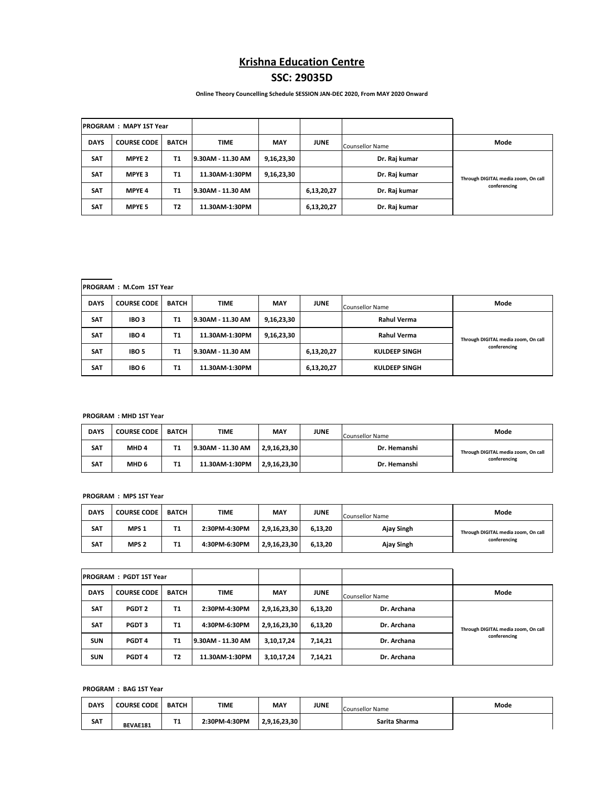# **Krishna Education Centre**

## **SSC: 29035D**

 **Online Theory Councelling Schedule SESSION JAN-DEC 2020, From MAY 2020 Onward**

| <b>IPROGRAM : MAPY 1ST Year</b> |                    |              |                   |            |             |                        |                                     |
|---------------------------------|--------------------|--------------|-------------------|------------|-------------|------------------------|-------------------------------------|
| <b>DAYS</b>                     | <b>COURSE CODE</b> | <b>BATCH</b> | <b>TIME</b>       | <b>MAY</b> | <b>JUNE</b> | <b>Counsellor Name</b> | Mode                                |
| <b>SAT</b>                      | <b>MPYE 2</b>      | <b>T1</b>    | 9.30AM - 11.30 AM | 9,16,23,30 |             | Dr. Raj kumar          |                                     |
| <b>SAT</b>                      | <b>MPYE 3</b>      | <b>T1</b>    | 11.30AM-1:30PM    | 9,16,23,30 |             | Dr. Raj kumar          | Through DIGITAL media zoom, On call |
| <b>SAT</b>                      | <b>MPYE 4</b>      | <b>T1</b>    | 9.30AM - 11.30 AM |            | 6,13,20,27  | Dr. Raj kumar          | conferencing                        |
| <b>SAT</b>                      | <b>MPYE 5</b>      | <b>T2</b>    | 11.30AM-1:30PM    |            | 6,13,20,27  | Dr. Raj kumar          |                                     |

## **PROGRAM : M.Com 1ST Year**

| <b>DAYS</b> | <b>COURSE CODE</b> | <b>BATCH</b> | <b>TIME</b>       | <b>MAY</b> | <b>JUNE</b> | Counsellor Name      | Mode                                |
|-------------|--------------------|--------------|-------------------|------------|-------------|----------------------|-------------------------------------|
| <b>SAT</b>  | IBO <sub>3</sub>   | Τ1           | 9.30AM - 11.30 AM | 9,16,23,30 |             | <b>Rahul Verma</b>   |                                     |
| <b>SAT</b>  | IBO <sub>4</sub>   | T1           | 11.30AM-1:30PM    | 9,16,23,30 |             | <b>Rahul Verma</b>   | Through DIGITAL media zoom, On call |
| <b>SAT</b>  | IBO <sub>5</sub>   | Т1           | 9.30AM - 11.30 AM |            | 6,13,20,27  | <b>KULDEEP SINGH</b> | conferencing                        |
| <b>SAT</b>  | IBO <sub>6</sub>   | Τ1           | 11.30AM-1:30PM    |            | 6,13,20,27  | <b>KULDEEP SINGH</b> |                                     |

#### **PROGRAM : MHD 1ST Year**

| <b>DAYS</b> | <b>COURSE CODE</b> | BATCH | <b>TIME</b>       | <b>MAY</b>   | <b>JUNE</b> | <b>Counsellor Name</b> | Mode                                |
|-------------|--------------------|-------|-------------------|--------------|-------------|------------------------|-------------------------------------|
| <b>SAT</b>  | MHD <sub>4</sub>   | Τ1    | 9.30AM - 11.30 AM | 2,9,16,23,30 |             | Dr. Hemanshi           | Through DIGITAL media zoom, On call |
| <b>SAT</b>  | MHD <sub>6</sub>   | Τ1    | 11.30AM-1:30PM    | 2,9,16,23,30 |             | Dr. Hemanshi           | conferencing                        |

#### **PROGRAM : MPS 1ST Year**

| <b>DAYS</b> | <b>COURSE CODE</b> | <b>BATCH</b> | <b>TIME</b>   | MAY          | <b>JUNE</b> | <b>Counsellor Name</b> | Mode                                |
|-------------|--------------------|--------------|---------------|--------------|-------------|------------------------|-------------------------------------|
| <b>SAT</b>  | MPS <sub>1</sub>   | Τ1           | 2:30PM-4:30PM | 2,9,16,23,30 | 6.13.20     | Ajay Singh             | Through DIGITAL media zoom, On call |
| <b>SAT</b>  | MPS <sub>2</sub>   | Τ1           | 4:30PM-6:30PM | 2,9,16,23,30 | 6,13,20     | Ajay Singh             | conferencing                        |

| <b>PROGRAM:</b><br><b>PGDT 1ST Year</b> |                    |                |                   |              |             |                        |                                     |
|-----------------------------------------|--------------------|----------------|-------------------|--------------|-------------|------------------------|-------------------------------------|
| <b>DAYS</b>                             | <b>COURSE CODE</b> | <b>BATCH</b>   | <b>TIME</b>       | <b>MAY</b>   | <b>JUNE</b> | <b>Counsellor Name</b> | Mode                                |
| <b>SAT</b>                              | PGDT <sub>2</sub>  | <b>T1</b>      | 2:30PM-4:30PM     | 2,9,16,23,30 | 6,13,20     | Dr. Archana            |                                     |
| <b>SAT</b>                              | PGDT <sub>3</sub>  | <b>T1</b>      | 4:30PM-6:30PM     | 2,9,16,23,30 | 6,13,20     | Dr. Archana            | Through DIGITAL media zoom, On call |
| <b>SUN</b>                              | PGDT <sub>4</sub>  | <b>T1</b>      | 9.30AM - 11.30 AM | 3,10,17,24   | 7,14,21     | Dr. Archana            | conferencing                        |
| <b>SUN</b>                              | PGDT <sub>4</sub>  | T <sub>2</sub> | 11.30AM-1:30PM    | 3,10,17,24   | 7,14,21     | Dr. Archana            |                                     |

### **PROGRAM : BAG 1ST Year**

| <b>DAYS</b> | <b>COURSE CODE</b> | <b>BATCH</b> | TIME          | MAY          | JUNE | Counsellor Name | Mode |
|-------------|--------------------|--------------|---------------|--------------|------|-----------------|------|
| <b>SAT</b>  | BEVAE181           | . .          | 2:30PM-4:30PM | 2,9,16,23,30 |      | Sarita Sharma   |      |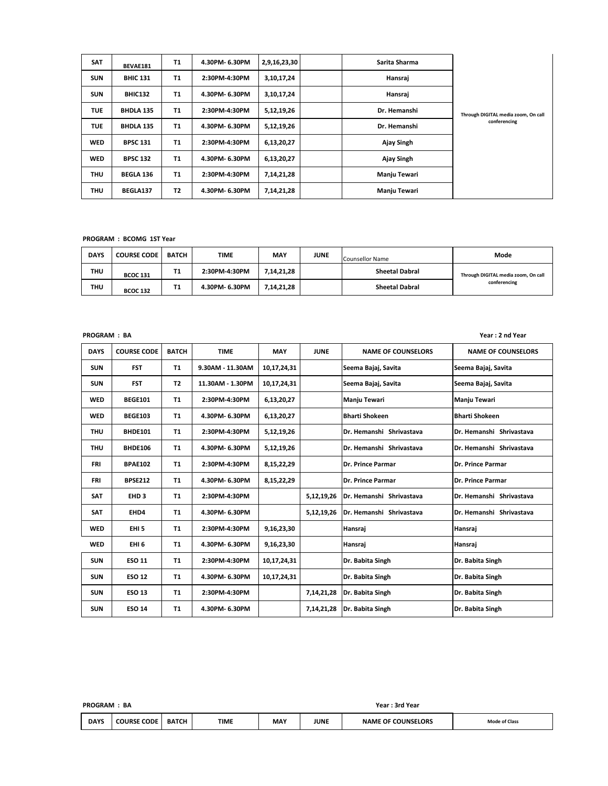| <b>SAT</b> | BEVAE181         | <b>T1</b> | 4.30PM-6.30PM  | 2,9,16,23,30 | Sarita Sharma |                                     |
|------------|------------------|-----------|----------------|--------------|---------------|-------------------------------------|
| <b>SUN</b> | <b>BHIC 131</b>  | <b>T1</b> | 2:30PM-4:30PM  | 3,10,17,24   | Hansraj       |                                     |
| <b>SUN</b> | <b>BHIC132</b>   | <b>T1</b> | 4.30PM-6.30PM  | 3,10,17,24   | Hansraj       |                                     |
| <b>TUE</b> | <b>BHDLA 135</b> | <b>T1</b> | 2:30PM-4:30PM  | 5,12,19,26   | Dr. Hemanshi  | Through DIGITAL media zoom, On call |
| <b>TUE</b> | <b>BHDLA 135</b> | <b>T1</b> | 4.30PM- 6.30PM | 5,12,19,26   | Dr. Hemanshi  | conferencing                        |
| <b>WED</b> | <b>BPSC 131</b>  | <b>T1</b> | 2:30PM-4:30PM  | 6,13,20,27   | Ajay Singh    |                                     |
| <b>WED</b> | <b>BPSC 132</b>  | <b>T1</b> | 4.30PM-6.30PM  | 6,13,20,27   | Ajay Singh    |                                     |
| <b>THU</b> | <b>BEGLA 136</b> | <b>T1</b> | 2:30PM-4:30PM  | 7,14,21,28   | Manju Tewari  |                                     |
| <b>THU</b> | BEGLA137         | <b>T2</b> | 4.30PM- 6.30PM | 7,14,21,28   | Manju Tewari  |                                     |

**PROGRAM : BCOMG 1ST Year**

| <b>DAYS</b> | <b>COURSE CODE</b> | BATCH | <b>TIME</b>    | <b>MAY</b> | <b>JUNE</b> | Counsellor Name       | Mode                                |
|-------------|--------------------|-------|----------------|------------|-------------|-----------------------|-------------------------------------|
| THU         | <b>BCOC 131</b>    | Τ1    | 2:30PM-4:30PM  | 7,14,21,28 |             | <b>Sheetal Dabral</b> | Through DIGITAL media zoom, On call |
| THU         | <b>BCOC 132</b>    | Τ1    | 4.30PM- 6.30PM | 7,14,21,28 |             | <b>Sheetal Dabral</b> | conferencing                        |

| <b>PROGRAM: BA</b> |                    |              |                  |             |             |                           | Year: 2 nd Year           |
|--------------------|--------------------|--------------|------------------|-------------|-------------|---------------------------|---------------------------|
| <b>DAYS</b>        | <b>COURSE CODE</b> | <b>BATCH</b> | <b>TIME</b>      | <b>MAY</b>  | <b>JUNE</b> | <b>NAME OF COUNSELORS</b> | <b>NAME OF COUNSELORS</b> |
| <b>SUN</b>         | <b>FST</b>         | <b>T1</b>    | 9.30AM - 11.30AM | 10,17,24,31 |             | Seema Bajaj, Savita       | Seema Bajaj, Savita       |
| <b>SUN</b>         | <b>FST</b>         | T2           | 11.30AM - 1.30PM | 10,17,24,31 |             | Seema Bajaj, Savita       | Seema Bajaj, Savita       |
| <b>WED</b>         | <b>BEGE101</b>     | <b>T1</b>    | 2:30PM-4:30PM    | 6,13,20,27  |             | Manju Tewari              | Manju Tewari              |
| <b>WED</b>         | <b>BEGE103</b>     | <b>T1</b>    | 4.30PM-6.30PM    | 6,13,20,27  |             | <b>Bharti Shokeen</b>     | <b>Bharti Shokeen</b>     |
| <b>THU</b>         | <b>BHDE101</b>     | <b>T1</b>    | 2:30PM-4:30PM    | 5,12,19,26  |             | Dr. Hemanshi Shrivastava  | Dr. Hemanshi Shrivastava  |
| <b>THU</b>         | <b>BHDE106</b>     | T1           | 4.30PM-6.30PM    | 5,12,19,26  |             | Dr. Hemanshi Shrivastava  | Dr. Hemanshi Shrivastava  |
| <b>FRI</b>         | <b>BPAE102</b>     | <b>T1</b>    | 2:30PM-4:30PM    | 8,15,22,29  |             | Dr. Prince Parmar         | Dr. Prince Parmar         |
| FRI                | <b>BPSE212</b>     | <b>T1</b>    | 4.30PM-6.30PM    | 8,15,22,29  |             | Dr. Prince Parmar         | Dr. Prince Parmar         |
| <b>SAT</b>         | EHD <sub>3</sub>   | <b>T1</b>    | 2:30PM-4:30PM    |             | 5,12,19,26  | Dr. Hemanshi Shrivastava  | Dr. Hemanshi Shrivastava  |
| <b>SAT</b>         | EHD4               | T1           | 4.30PM-6.30PM    |             | 5,12,19,26  | Dr. Hemanshi Shrivastava  | Dr. Hemanshi Shrivastava  |
| <b>WED</b>         | EHI <sub>5</sub>   | T1           | 2:30PM-4:30PM    | 9,16,23,30  |             | Hansraj                   | Hansraj                   |
| <b>WED</b>         | EHI <sub>6</sub>   | T1           | 4.30PM-6.30PM    | 9,16,23,30  |             | Hansraj                   | Hansraj                   |
| <b>SUN</b>         | <b>ESO 11</b>      | <b>T1</b>    | 2:30PM-4:30PM    | 10,17,24,31 |             | Dr. Babita Singh          | Dr. Babita Singh          |
| <b>SUN</b>         | <b>ESO 12</b>      | T1           | 4.30PM-6.30PM    | 10,17,24,31 |             | Dr. Babita Singh          | Dr. Babita Singh          |
| <b>SUN</b>         | <b>ESO 13</b>      | <b>T1</b>    | 2:30PM-4:30PM    |             | 7,14,21,28  | Dr. Babita Singh          | Dr. Babita Singh          |
| <b>SUN</b>         | <b>ESO 14</b>      | <b>T1</b>    | 4.30PM-6.30PM    |             | 7,14,21,28  | Dr. Babita Singh          | Dr. Babita Singh          |

| <b>PROGRAM</b> | BA                 |              |             | Year : 3rd Year |      |                           |                      |  |
|----------------|--------------------|--------------|-------------|-----------------|------|---------------------------|----------------------|--|
| <b>DAYS</b>    | <b>COURSE CODE</b> | <b>BATCH</b> | <b>TIME</b> | <b>MAY</b>      | JUNE | <b>NAME OF COUNSELORS</b> | <b>Mode of Class</b> |  |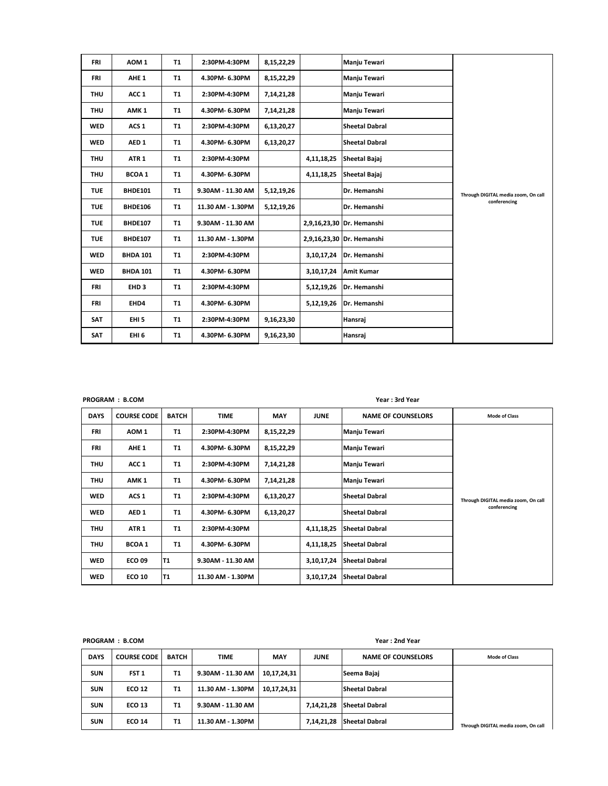| <b>FRI</b> | AOM <sub>1</sub> | <b>T1</b> | 2:30PM-4:30PM     | 8,15,22,29 |            | Manju Tewari              |                                     |
|------------|------------------|-----------|-------------------|------------|------------|---------------------------|-------------------------------------|
| <b>FRI</b> | AHE <sub>1</sub> | <b>T1</b> | 4.30PM-6.30PM     | 8,15,22,29 |            | <b>Manju Tewari</b>       |                                     |
| <b>THU</b> | ACC 1            | <b>T1</b> | 2:30PM-4:30PM     | 7,14,21,28 |            | Manju Tewari              |                                     |
| <b>THU</b> | AMK <sub>1</sub> | <b>T1</b> | 4.30PM- 6.30PM    | 7,14,21,28 |            | Manju Tewari              |                                     |
| <b>WED</b> | ACS <sub>1</sub> | <b>T1</b> | 2:30PM-4:30PM     | 6,13,20,27 |            | <b>Sheetal Dabral</b>     |                                     |
| <b>WED</b> | AED <sub>1</sub> | <b>T1</b> | 4.30PM-6.30PM     | 6,13,20,27 |            | <b>Sheetal Dabral</b>     |                                     |
| <b>THU</b> | ATR <sub>1</sub> | <b>T1</b> | 2:30PM-4:30PM     |            | 4,11,18,25 | Sheetal Bajaj             |                                     |
| <b>THU</b> | <b>BCOA1</b>     | <b>T1</b> | 4.30PM- 6.30PM    |            | 4,11,18,25 | Sheetal Bajaj             |                                     |
| <b>TUE</b> | <b>BHDE101</b>   | <b>T1</b> | 9.30AM - 11.30 AM | 5,12,19,26 |            | Dr. Hemanshi              | Through DIGITAL media zoom, On call |
| <b>TUE</b> | <b>BHDE106</b>   | <b>T1</b> | 11.30 AM - 1.30PM | 5,12,19,26 |            | Dr. Hemanshi              | conferencing                        |
| <b>TUE</b> | <b>BHDE107</b>   | <b>T1</b> | 9.30AM - 11.30 AM |            |            | 2,9,16,23,30 Dr. Hemanshi |                                     |
| <b>TUE</b> | <b>BHDE107</b>   | <b>T1</b> | 11.30 AM - 1.30PM |            |            | 2,9,16,23,30 Dr. Hemanshi |                                     |
| <b>WED</b> | <b>BHDA 101</b>  | <b>T1</b> | 2:30PM-4:30PM     |            |            | 3,10,17,24 Dr. Hemanshi   |                                     |
| <b>WED</b> | <b>BHDA 101</b>  | T1        | 4.30PM- 6.30PM    |            |            | 3,10,17,24 Amit Kumar     |                                     |
| FRI        | EHD <sub>3</sub> | <b>T1</b> | 2:30PM-4:30PM     |            | 5,12,19,26 | Dr. Hemanshi              |                                     |
| FRI        | EHD4             | <b>T1</b> | 4.30PM-6.30PM     |            | 5,12,19,26 | Dr. Hemanshi              |                                     |
| <b>SAT</b> | EHI <sub>5</sub> | <b>T1</b> | 2:30PM-4:30PM     | 9,16,23,30 |            | Hansraj                   |                                     |
| <b>SAT</b> | EHI <sub>6</sub> | <b>T1</b> | 4.30PM- 6.30PM    | 9,16,23,30 |            | Hansraj                   |                                     |

|             | PROGRAM : B.COM    |                |                   |            | Year: 3rd Year |                           |                                     |  |  |
|-------------|--------------------|----------------|-------------------|------------|----------------|---------------------------|-------------------------------------|--|--|
| <b>DAYS</b> | <b>COURSE CODE</b> | <b>BATCH</b>   | <b>TIME</b>       | <b>MAY</b> | <b>JUNE</b>    | <b>NAME OF COUNSELORS</b> | <b>Mode of Class</b>                |  |  |
| FRI         | AOM 1              | Τ1             | 2:30PM-4:30PM     | 8,15,22,29 |                | Manju Tewari              |                                     |  |  |
| FRI         | AHE <sub>1</sub>   | <b>T1</b>      | 4.30PM-6.30PM     | 8,15,22,29 |                | Manju Tewari              |                                     |  |  |
| THU         | ACC 1              | <b>T1</b>      | 2:30PM-4:30PM     | 7,14,21,28 |                | Manju Tewari              |                                     |  |  |
| THU         | AMK <sub>1</sub>   | Τ1             | 4.30PM-6.30PM     | 7,14,21,28 |                | Manju Tewari              |                                     |  |  |
| <b>WED</b>  | ACS <sub>1</sub>   | T <sub>1</sub> | 2:30PM-4:30PM     | 6,13,20,27 |                | <b>Sheetal Dabral</b>     | Through DIGITAL media zoom, On call |  |  |
| <b>WED</b>  | AED <sub>1</sub>   | T <sub>1</sub> | 4.30PM-6.30PM     | 6,13,20,27 |                | <b>Sheetal Dabral</b>     | conferencing                        |  |  |
| THU         | ATR <sub>1</sub>   | <b>T1</b>      | 2:30PM-4:30PM     |            | 4,11,18,25     | <b>Sheetal Dabral</b>     |                                     |  |  |
| THU         | <b>BCOA1</b>       | Τ1             | 4.30PM-6.30PM     |            | 4,11,18,25     | <b>Sheetal Dabral</b>     |                                     |  |  |
| <b>WED</b>  | <b>ECO 09</b>      | lT1            | 9.30AM - 11.30 AM |            | 3,10,17,24     | <b>Sheetal Dabral</b>     |                                     |  |  |
| <b>WED</b>  | <b>ECO 10</b>      | lT1            | 11.30 AM - 1.30PM |            | 3,10,17,24     | <b>Sheetal Dabral</b>     |                                     |  |  |

**PROGRAM : B.COM Year : 2nd Year**

| <b>DAYS</b> | <b>COURSE CODE</b> | <b>BATCH</b> | <b>TIME</b>       | <b>MAY</b>  | <b>JUNE</b> | <b>NAME OF COUNSELORS</b> | <b>Mode of Class</b>                |
|-------------|--------------------|--------------|-------------------|-------------|-------------|---------------------------|-------------------------------------|
| <b>SUN</b>  | FST <sub>1</sub>   | Т1           | 9.30AM - 11.30 AM | 10,17,24,31 |             | Seema Bajai               |                                     |
| <b>SUN</b>  | <b>ECO 12</b>      | <b>T1</b>    | 11.30 AM - 1.30PM | 10,17,24,31 |             | <b>Sheetal Dabral</b>     |                                     |
| <b>SUN</b>  | <b>ECO 13</b>      | Т1           | 9.30AM - 11.30 AM |             | 7,14,21,28  | <b>Sheetal Dabral</b>     |                                     |
| <b>SUN</b>  | <b>ECO 14</b>      | Т1           | 11.30 AM - 1.30PM |             | 7,14,21,28  | <b>Sheetal Dabral</b>     | Through DIGITAL media zoom, On call |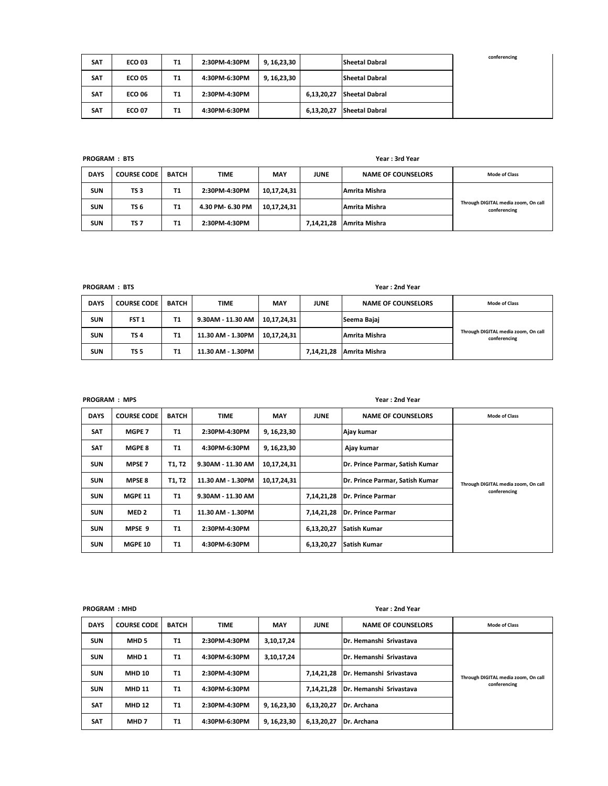| <b>SAT</b> | <b>ECO 03</b> | T1 | 2:30PM-4:30PM | 9, 16,23,30 |            | <b>Sheetal Dabral</b> | conferencing |
|------------|---------------|----|---------------|-------------|------------|-----------------------|--------------|
| <b>SAT</b> | <b>ECO 05</b> | Τ1 | 4:30PM-6:30PM | 9, 16,23,30 |            | <b>Sheetal Dabral</b> |              |
| <b>SAT</b> | <b>ECO 06</b> | Τ1 | 2:30PM-4:30PM |             | 6,13,20,27 | <b>Sheetal Dabral</b> |              |
| <b>SAT</b> | <b>ECO 07</b> | Т1 | 4:30PM-6:30PM |             | 6,13,20,27 | <b>Sheetal Dabral</b> |              |

**PROGRAM : BTS Year : 3rd Year**

| <b>DAYS</b> | <b>COURSE CODE</b> | <b>BATCH</b> | <b>TIME</b>      | <b>MAY</b>  | <b>JUNE</b> | <b>NAME OF COUNSELORS</b> | <b>Mode of Class</b>                                |
|-------------|--------------------|--------------|------------------|-------------|-------------|---------------------------|-----------------------------------------------------|
| <b>SUN</b>  | TS <sub>3</sub>    | T1           | 2:30PM-4:30PM    | 10,17,24,31 |             | Amrita Mishra             |                                                     |
| <b>SUN</b>  | TS 6               | Τ1           | 4.30 PM- 6.30 PM | 10,17,24,31 |             | Amrita Mishra             | Through DIGITAL media zoom, On call<br>conferencing |
| <b>SUN</b>  | TS 7               | T1           | 2:30PM-4:30PM    |             | 7,14,21,28  | Amrita Mishra             |                                                     |

**PROGRAM : BTS Year : 2nd Year**

| <b>DAYS</b> | <b>COURSE CODE</b> | <b>BATCH</b> | <b>TIME</b>       | <b>MAY</b>  | <b>JUNE</b> | <b>NAME OF COUNSELORS</b> | <b>Mode of Class</b>                                |
|-------------|--------------------|--------------|-------------------|-------------|-------------|---------------------------|-----------------------------------------------------|
| <b>SUN</b>  | FST <sub>1</sub>   | Τ1           | 9.30AM - 11.30 AM | 10,17,24,31 |             | Seema Bajaj               |                                                     |
| <b>SUN</b>  | TS <sub>4</sub>    | Т1           | 11.30 AM - 1.30PM | 10,17,24,31 |             | Amrita Mishra             | Through DIGITAL media zoom, On call<br>conferencing |
| <b>SUN</b>  | <b>TS 5</b>        | Τ1           | 11.30 AM - 1.30PM |             | 7,14,21,28  | Amrita Mishra             |                                                     |

**PROGRAM : MPS Year : 2nd Year**

| <b>DAYS</b> | <b>COURSE CODE</b> | <b>BATCH</b> | <b>TIME</b>       | <b>MAY</b>    | <b>JUNE</b> | <b>NAME OF COUNSELORS</b>       | <b>Mode of Class</b>                                |
|-------------|--------------------|--------------|-------------------|---------------|-------------|---------------------------------|-----------------------------------------------------|
| <b>SAT</b>  | MGPE 7             | T1           | 2:30PM-4:30PM     | 9, 16, 23, 30 |             | Ajay kumar                      |                                                     |
| <b>SAT</b>  | <b>MGPE 8</b>      | T1           | 4:30PM-6:30PM     | 9, 16, 23, 30 |             | Ajay kumar                      |                                                     |
| <b>SUN</b>  | <b>MPSE 7</b>      | T1, T2       | 9.30AM - 11.30 AM | 10,17,24,31   |             | Dr. Prince Parmar, Satish Kumar | Through DIGITAL media zoom, On call<br>conferencing |
| <b>SUN</b>  | <b>MPSE 8</b>      | T1, T2       | 11.30 AM - 1.30PM | 10,17,24,31   |             | Dr. Prince Parmar, Satish Kumar |                                                     |
| <b>SUN</b>  | <b>MGPE 11</b>     | <b>T1</b>    | 9.30AM - 11.30 AM |               | 7,14,21,28  | Dr. Prince Parmar               |                                                     |
| <b>SUN</b>  | MED <sub>2</sub>   | <b>T1</b>    | 11.30 AM - 1.30PM |               | 7,14,21,28  | Dr. Prince Parmar               |                                                     |
| <b>SUN</b>  | MPSE 9             | Т1           | 2:30PM-4:30PM     |               | 6,13,20,27  | Satish Kumar                    |                                                     |
| <b>SUN</b>  | <b>MGPE 10</b>     | <b>T1</b>    | 4:30PM-6:30PM     |               | 6,13,20,27  | <b>Satish Kumar</b>             |                                                     |

**PROGRAM : MHD Year : 2nd Year**

| <b>DAYS</b> | <b>COURSE CODE</b> | <b>BATCH</b> | <b>TIME</b>   | <b>MAY</b>    | <b>JUNE</b> | <b>NAME OF COUNSELORS</b>       | <b>Mode of Class</b>                                |
|-------------|--------------------|--------------|---------------|---------------|-------------|---------------------------------|-----------------------------------------------------|
| <b>SUN</b>  | MHD <sub>5</sub>   | T1           | 2:30PM-4:30PM | 3,10,17,24    |             | <b>IDr. Hemanshi Srivastava</b> | Through DIGITAL media zoom, On call<br>conferencing |
| <b>SUN</b>  | MHD <sub>1</sub>   | T1           | 4:30PM-6:30PM | 3,10,17,24    |             | <b>IDr. Hemanshi Srivastava</b> |                                                     |
| <b>SUN</b>  | <b>MHD 10</b>      | <b>T1</b>    | 2:30PM-4:30PM |               | 7,14,21,28  | Dr. Hemanshi Srivastava         |                                                     |
| <b>SUN</b>  | <b>MHD 11</b>      | T1           | 4:30PM-6:30PM |               | 7,14,21,28  | Dr. Hemanshi Srivastava         |                                                     |
| <b>SAT</b>  | <b>MHD 12</b>      | <b>T1</b>    | 2:30PM-4:30PM | 9, 16, 23, 30 | 6,13,20,27  | Dr. Archana                     |                                                     |
| <b>SAT</b>  | MHD <sub>7</sub>   | T1           | 4:30PM-6:30PM | 9, 16, 23, 30 | 6,13,20,27  | Dr. Archana                     |                                                     |